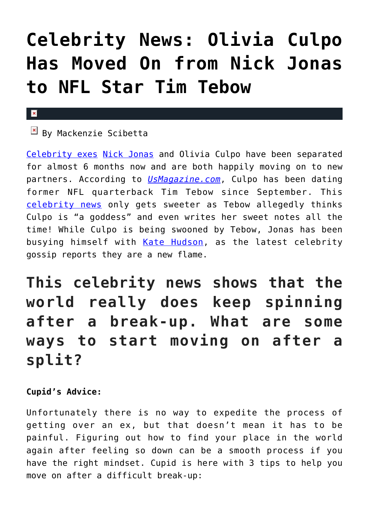## **[Celebrity News: Olivia Culpo](https://cupidspulse.com/101086/celebrity-news-olivia-culpo-moved-on-nick-jonas-nfl-star-tim-tebow/) [Has Moved On from Nick Jonas](https://cupidspulse.com/101086/celebrity-news-olivia-culpo-moved-on-nick-jonas-nfl-star-tim-tebow/) [to NFL Star Tim Tebow](https://cupidspulse.com/101086/celebrity-news-olivia-culpo-moved-on-nick-jonas-nfl-star-tim-tebow/)**

## $\mathbf{x}$

## By Mackenzie Scibetta

[Celebrity exes](http://cupidspulse.com/celebrity-relationships/break-up-divorce/) [Nick Jonas](http://cupidspulse.com/87716/nick-jonas/) and Olivia Culpo have been separated for almost 6 months now and are both happily moving on to new partners. According to *[UsMagazine.com](http://www.usmagazine.com/celebrity-news/news/nick-jonas-ex-olivia-culpo-is-dating-former-nfl-quarterback-tim-tebow-20152910)*, Culpo has been dating former NFL quarterback Tim Tebow since September. This [celebrity news](http://cupidspulse.com/) only gets sweeter as Tebow allegedly thinks Culpo is "a goddess" and even writes her sweet notes all the time! While Culpo is being swooned by Tebow, Jonas has been busying himself with [Kate Hudson](http://cupidspulse.com/89559/kate-hudson/), as the latest celebrity gossip reports they are a new flame.

**This celebrity news shows that the world really does keep spinning after a break-up. What are some ways to start moving on after a split?**

## **Cupid's Advice:**

Unfortunately there is no way to expedite the process of getting over an ex, but that doesn't mean it has to be painful. Figuring out how to find your place in the world again after feeling so down can be a smooth process if you have the right mindset. Cupid is here with 3 tips to help you move on after a difficult break-up: